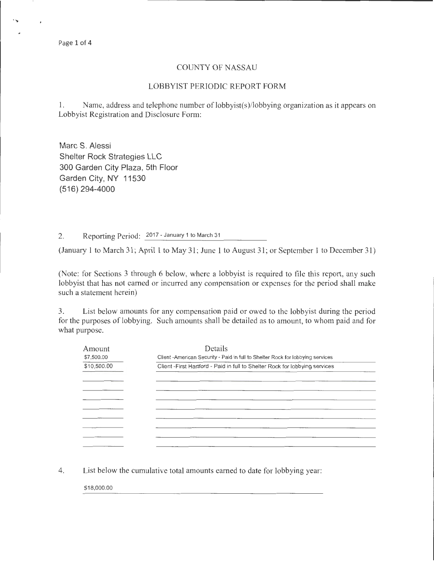Page 1 of 4

## COUNTY OF NASSAU

## LOBBYIST PERIODIC REPORT FORM

1. Name, address and telephone number of lobbyist(s)/lobbying organization as it appears on Lobbyist Registration and Disclosure Fonn:

Marc S. Alessi Shelter Rock Strategies LLC 300 Garden City Plaza, 5th Floor Garden City, NY 11530 (516) 294-4000

2. Reporting Period: 2017- January 1 to March 31

(January 1 to March 31; April 1 to May 31; June 1 to August 31; or September 1 to December 31)

(Note: for Sections 3 through 6 below, where a lobbyist is required to file this report, any such lobbyist that has not earned or incurred any compensation or expenses for the period shall make such a statement herein)

3. List below amounts for any compensation paid or owed to the lobbyist during the period for the purposes of lobbying. Such amounts shall be detailed as to amount, to whom paid and for what purpose.

| Amount      | Details                                                                         |
|-------------|---------------------------------------------------------------------------------|
| \$7,500.00  | Client - American Security - Paid in full to Shelter Rock for lobbying services |
| \$10,500.00 | Client - First Hartford - Paid in full to Shelter Rock for lobbying services    |
|             |                                                                                 |
|             |                                                                                 |
|             |                                                                                 |
|             |                                                                                 |
|             |                                                                                 |
|             |                                                                                 |
|             |                                                                                 |
|             |                                                                                 |
|             |                                                                                 |

4. List below the cumulative total amounts earned to date for lobbying year:

\$18,000.00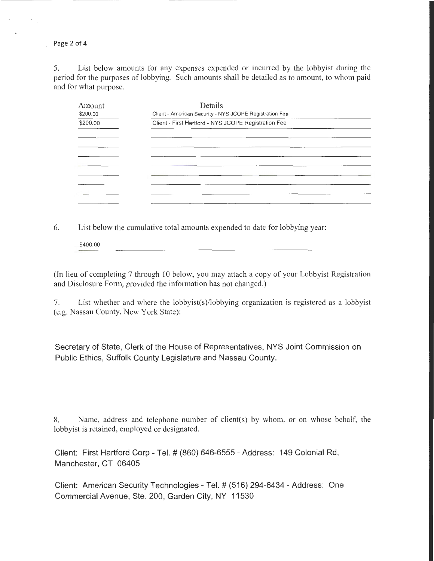Page 2 of 4

5. List below amounts for any expenses expended or incurred by the lobbyist during the period for the purposes of lobbying. Such amounts shall be detailed as to amount, to whom paid and for what purpose.

| Amount   | Details                                                 |  |
|----------|---------------------------------------------------------|--|
| \$200.00 | Client - American Security - NYS JCOPE Registration Fee |  |
| \$200.00 | Client - First Hartford - NYS JCOPE Registration Fee    |  |
|          |                                                         |  |
|          |                                                         |  |
|          |                                                         |  |
|          |                                                         |  |
|          |                                                         |  |
|          |                                                         |  |
|          |                                                         |  |
|          |                                                         |  |

6. List below the cumulative total amounts expended to date for lobbying year:

\$400.00

(In lieu of completing 7 through 10 below, you may attach a copy of your Lobbyist Registration and Disclosure Form, provided the information has not changed.)

7. List whether and where the lobbyist(s)/lobbying organization is registered as a lobbyist (e.g. Nassau County, New York State):

Secretary of State, Clerk of the House of Representatives, NYS Joint Commission on Public Ethics, Suffolk County Legislature and Nassau County.

8. Name, address and telephone number of client(s) by whom, or on whose behalf, the lobbyist is retained, employed or designated.

Client: First Hartford Corp- Tel.# (860) 646-6555- Address: 149 Colonial Rd, Manchester, CT 06405

Client: American Security Technologies- Tel.# (516) 294-6434- Address: One Commercial Avenue, Ste. 200, Garden City, NY 11530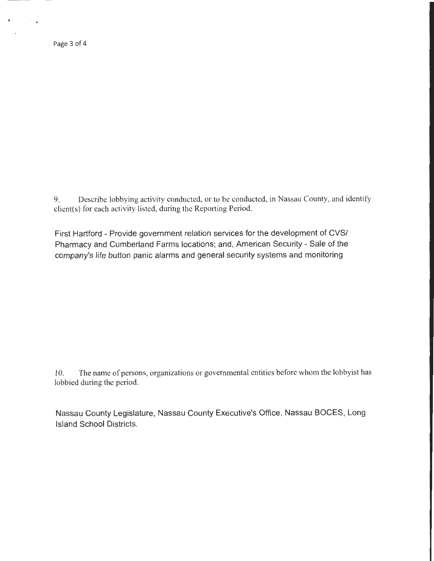Page 3 of 4

 $\mathbf{a}$ 

9. Describe lobbying activity conducted, or to be conducted, in Nassau County, and identify client(s) for each activity listed, during the Reporting Period.

First Hartford - Provide government relation services for the development of CVS/ Pharmacy and Cumberland Farms locations; and, American Security- Sale of the company's life button panic alarms and general security systems and monitoring

10. The name of persons, organizations or governmental entities before whom the lobbyist has lobbied during the period.

Nassau County Legislature, Nassau County Executive's Office, Nassau BOCES, Long Island School Districts.